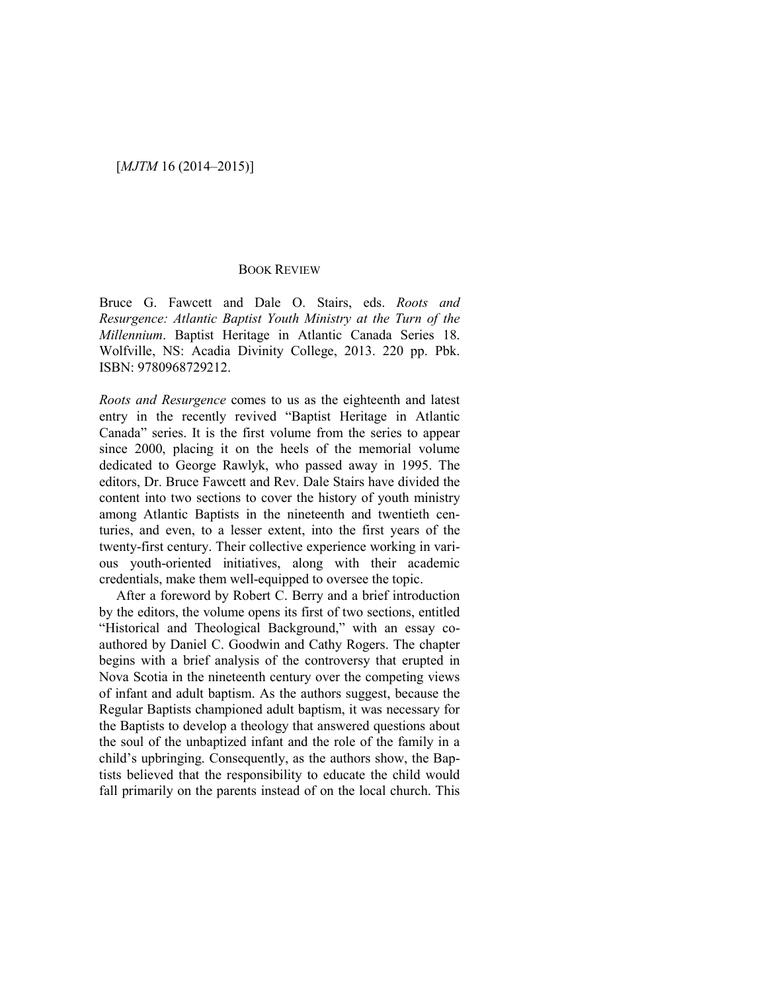## BOOK REVIEW

Bruce G. Fawcett and Dale O. Stairs, eds. *Roots and Resurgence: Atlantic Baptist Youth Ministry at the Turn of the Millennium*. Baptist Heritage in Atlantic Canada Series 18. Wolfville, NS: Acadia Divinity College, 2013. 220 pp. Pbk. ISBN: 9780968729212.

*Roots and Resurgence* comes to us as the eighteenth and latest entry in the recently revived "Baptist Heritage in Atlantic Canada" series. It is the first volume from the series to appear since 2000, placing it on the heels of the memorial volume dedicated to George Rawlyk, who passed away in 1995. The editors, Dr. Bruce Fawcett and Rev. Dale Stairs have divided the content into two sections to cover the history of youth ministry among Atlantic Baptists in the nineteenth and twentieth centuries, and even, to a lesser extent, into the first years of the twenty-first century. Their collective experience working in various youth-oriented initiatives, along with their academic credentials, make them well-equipped to oversee the topic.

After a foreword by Robert C. Berry and a brief introduction by the editors, the volume opens its first of two sections, entitled "Historical and Theological Background," with an essay coauthored by Daniel C. Goodwin and Cathy Rogers. The chapter begins with a brief analysis of the controversy that erupted in Nova Scotia in the nineteenth century over the competing views of infant and adult baptism. As the authors suggest, because the Regular Baptists championed adult baptism, it was necessary for the Baptists to develop a theology that answered questions about the soul of the unbaptized infant and the role of the family in a child's upbringing. Consequently, as the authors show, the Baptists believed that the responsibility to educate the child would fall primarily on the parents instead of on the local church. This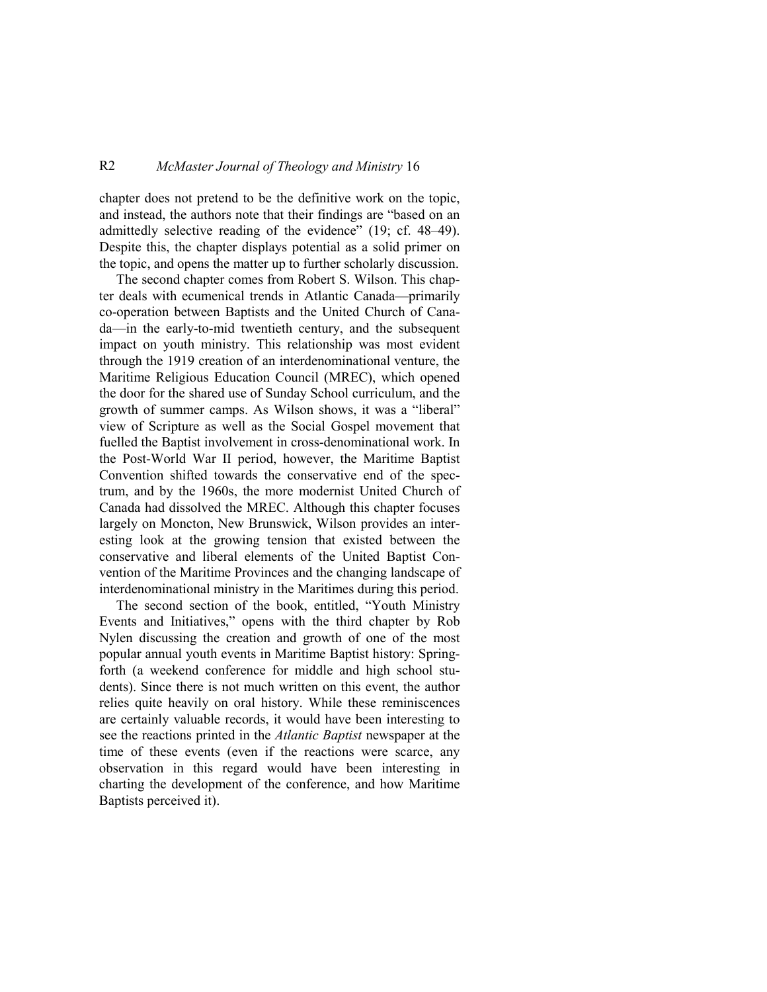## R2 *McMaster Journal of Theology and Ministry* 16

chapter does not pretend to be the definitive work on the topic, and instead, the authors note that their findings are "based on an admittedly selective reading of the evidence" (19; cf. 48–49). Despite this, the chapter displays potential as a solid primer on the topic, and opens the matter up to further scholarly discussion.

The second chapter comes from Robert S. Wilson. This chapter deals with ecumenical trends in Atlantic Canada—primarily co-operation between Baptists and the United Church of Canada—in the early-to-mid twentieth century, and the subsequent impact on youth ministry. This relationship was most evident through the 1919 creation of an interdenominational venture, the Maritime Religious Education Council (MREC), which opened the door for the shared use of Sunday School curriculum, and the growth of summer camps. As Wilson shows, it was a "liberal" view of Scripture as well as the Social Gospel movement that fuelled the Baptist involvement in cross-denominational work. In the Post-World War II period, however, the Maritime Baptist Convention shifted towards the conservative end of the spectrum, and by the 1960s, the more modernist United Church of Canada had dissolved the MREC. Although this chapter focuses largely on Moncton, New Brunswick, Wilson provides an interesting look at the growing tension that existed between the conservative and liberal elements of the United Baptist Convention of the Maritime Provinces and the changing landscape of interdenominational ministry in the Maritimes during this period.

The second section of the book, entitled, "Youth Ministry Events and Initiatives," opens with the third chapter by Rob Nylen discussing the creation and growth of one of the most popular annual youth events in Maritime Baptist history: Springforth (a weekend conference for middle and high school students). Since there is not much written on this event, the author relies quite heavily on oral history. While these reminiscences are certainly valuable records, it would have been interesting to see the reactions printed in the *Atlantic Baptist* newspaper at the time of these events (even if the reactions were scarce, any observation in this regard would have been interesting in charting the development of the conference, and how Maritime Baptists perceived it).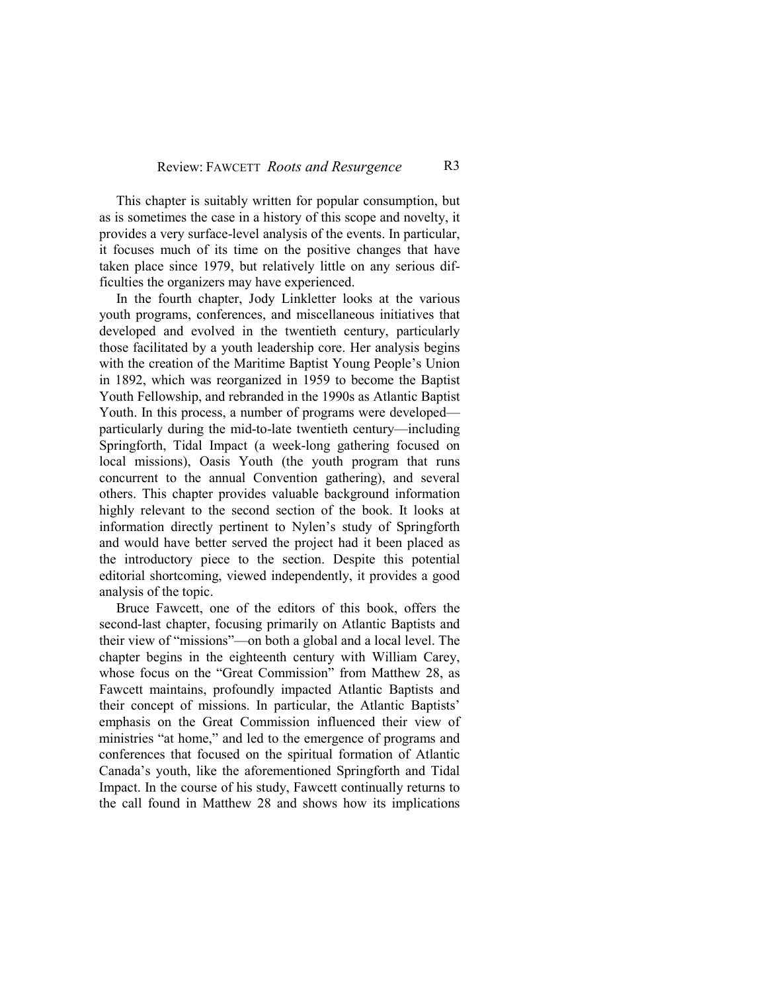This chapter is suitably written for popular consumption, but as is sometimes the case in a history of this scope and novelty, it provides a very surface-level analysis of the events. In particular, it focuses much of its time on the positive changes that have taken place since 1979, but relatively little on any serious difficulties the organizers may have experienced.

In the fourth chapter, Jody Linkletter looks at the various youth programs, conferences, and miscellaneous initiatives that developed and evolved in the twentieth century, particularly those facilitated by a youth leadership core. Her analysis begins with the creation of the Maritime Baptist Young People's Union in 1892, which was reorganized in 1959 to become the Baptist Youth Fellowship, and rebranded in the 1990s as Atlantic Baptist Youth. In this process, a number of programs were developed particularly during the mid-to-late twentieth century—including Springforth, Tidal Impact (a week-long gathering focused on local missions), Oasis Youth (the youth program that runs concurrent to the annual Convention gathering), and several others. This chapter provides valuable background information highly relevant to the second section of the book. It looks at information directly pertinent to Nylen's study of Springforth and would have better served the project had it been placed as the introductory piece to the section. Despite this potential editorial shortcoming, viewed independently, it provides a good analysis of the topic.

Bruce Fawcett, one of the editors of this book, offers the second-last chapter, focusing primarily on Atlantic Baptists and their view of "missions"—on both a global and a local level. The chapter begins in the eighteenth century with William Carey, whose focus on the "Great Commission" from Matthew 28, as Fawcett maintains, profoundly impacted Atlantic Baptists and their concept of missions. In particular, the Atlantic Baptists' emphasis on the Great Commission influenced their view of ministries "at home," and led to the emergence of programs and conferences that focused on the spiritual formation of Atlantic Canada's youth, like the aforementioned Springforth and Tidal Impact. In the course of his study, Fawcett continually returns to the call found in Matthew 28 and shows how its implications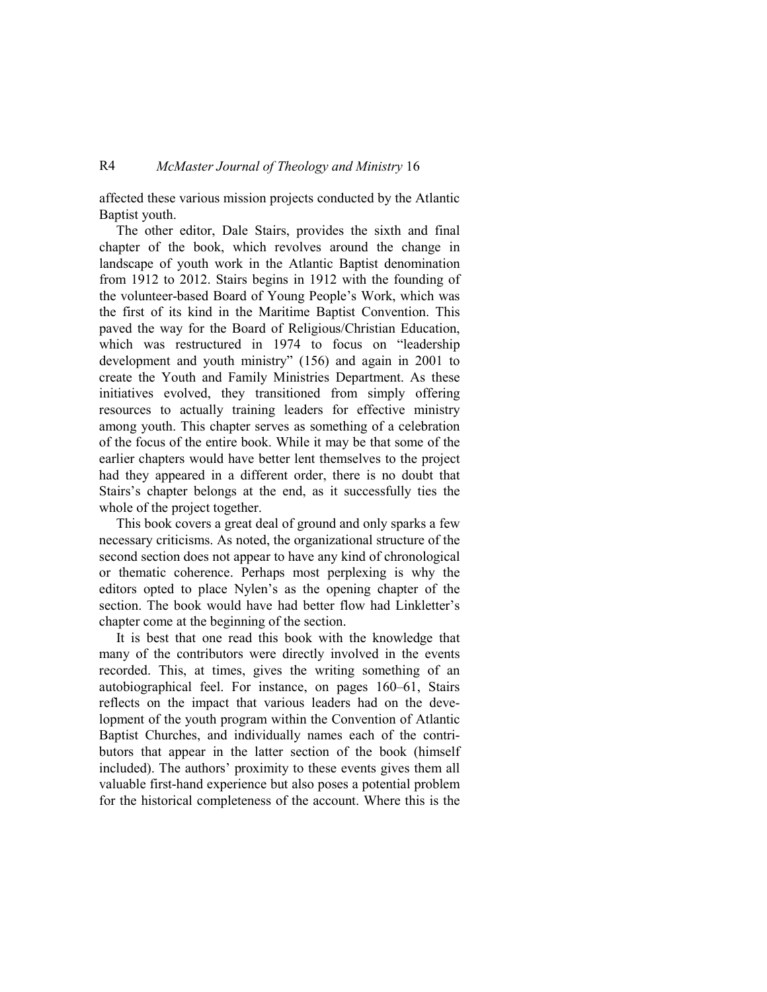## R4 *McMaster Journal of Theology and Ministry* 16

affected these various mission projects conducted by the Atlantic Baptist youth.

The other editor, Dale Stairs, provides the sixth and final chapter of the book, which revolves around the change in landscape of youth work in the Atlantic Baptist denomination from 1912 to 2012. Stairs begins in 1912 with the founding of the volunteer-based Board of Young People's Work, which was the first of its kind in the Maritime Baptist Convention. This paved the way for the Board of Religious/Christian Education, which was restructured in 1974 to focus on "leadership development and youth ministry" (156) and again in 2001 to create the Youth and Family Ministries Department. As these initiatives evolved, they transitioned from simply offering resources to actually training leaders for effective ministry among youth. This chapter serves as something of a celebration of the focus of the entire book. While it may be that some of the earlier chapters would have better lent themselves to the project had they appeared in a different order, there is no doubt that Stairs's chapter belongs at the end, as it successfully ties the whole of the project together.

This book covers a great deal of ground and only sparks a few necessary criticisms. As noted, the organizational structure of the second section does not appear to have any kind of chronological or thematic coherence. Perhaps most perplexing is why the editors opted to place Nylen's as the opening chapter of the section. The book would have had better flow had Linkletter's chapter come at the beginning of the section.

It is best that one read this book with the knowledge that many of the contributors were directly involved in the events recorded. This, at times, gives the writing something of an autobiographical feel. For instance, on pages 160–61, Stairs reflects on the impact that various leaders had on the development of the youth program within the Convention of Atlantic Baptist Churches, and individually names each of the contributors that appear in the latter section of the book (himself included). The authors' proximity to these events gives them all valuable first-hand experience but also poses a potential problem for the historical completeness of the account. Where this is the